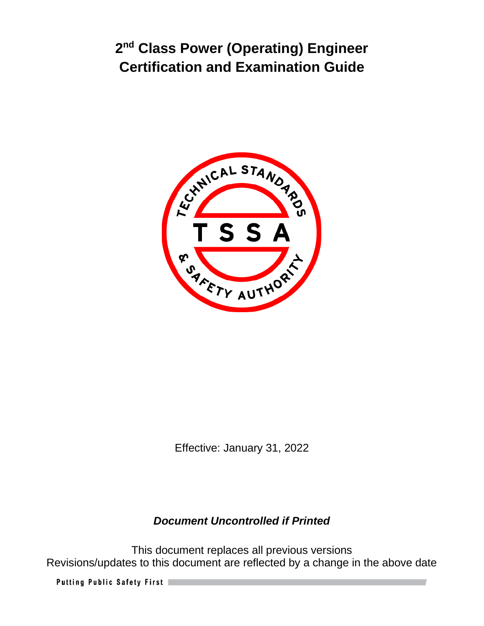

Effective: January 31, 2022

# *Document Uncontrolled if Printed*

This document replaces all previous versions Revisions/updates to this document are reflected by a change in the above date

Putting Public Safety First |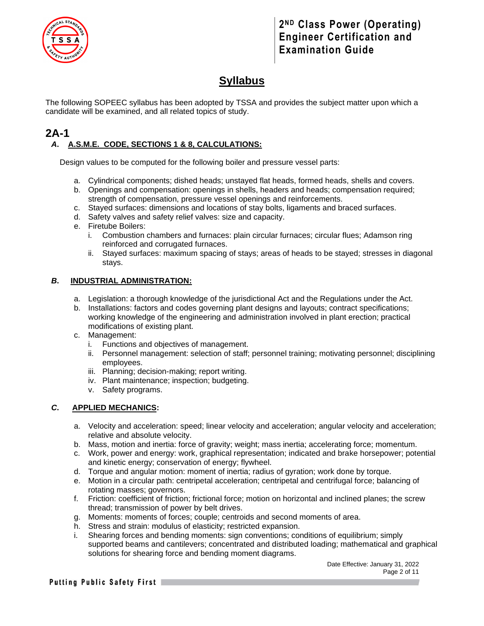

# **Syllabus**

The following SOPEEC syllabus has been adopted by TSSA and provides the subject matter upon which a candidate will be examined, and all related topics of study.

### **2A-1** *A***. A.S.M.E. CODE, SECTIONS 1 & 8, CALCULATIONS:**

Design values to be computed for the following boiler and pressure vessel parts:

- a. Cylindrical components; dished heads; unstayed flat heads, formed heads, shells and covers.
- b. Openings and compensation: openings in shells, headers and heads; compensation required; strength of compensation, pressure vessel openings and reinforcements.
- c. Stayed surfaces: dimensions and locations of stay bolts, ligaments and braced surfaces.
- d. Safety valves and safety relief valves: size and capacity.
- e. Firetube Boilers:
	- i. Combustion chambers and furnaces: plain circular furnaces; circular flues; Adamson ring reinforced and corrugated furnaces.
	- ii. Stayed surfaces: maximum spacing of stays; areas of heads to be stayed; stresses in diagonal stays.

#### *B***. INDUSTRIAL ADMINISTRATION:**

- a. Legislation: a thorough knowledge of the jurisdictional Act and the Regulations under the Act.
- b. Installations: factors and codes governing plant designs and layouts; contract specifications; working knowledge of the engineering and administration involved in plant erection; practical modifications of existing plant.
- c. Management:
	- i. Functions and objectives of management.
	- ii. Personnel management: selection of staff; personnel training; motivating personnel; disciplining employees.
	- iii. Planning; decision-making; report writing.
	- iv. Plant maintenance; inspection; budgeting.
	- v. Safety programs.

#### *C***. APPLIED MECHANICS:**

- a. Velocity and acceleration: speed; linear velocity and acceleration; angular velocity and acceleration; relative and absolute velocity.
- b. Mass, motion and inertia: force of gravity; weight; mass inertia; accelerating force; momentum.
- c. Work, power and energy: work, graphical representation; indicated and brake horsepower; potential and kinetic energy; conservation of energy; flywheel.
- d. Torque and angular motion: moment of inertia; radius of gyration; work done by torque.
- e. Motion in a circular path: centripetal acceleration; centripetal and centrifugal force; balancing of rotating masses; governors.
- f. Friction: coefficient of friction; frictional force; motion on horizontal and inclined planes; the screw thread; transmission of power by belt drives.
- g. Moments: moments of forces; couple; centroids and second moments of area.
- h. Stress and strain: modulus of elasticity; restricted expansion.
- i. Shearing forces and bending moments: sign conventions; conditions of equilibrium; simply supported beams and cantilevers; concentrated and distributed loading; mathematical and graphical solutions for shearing force and bending moment diagrams.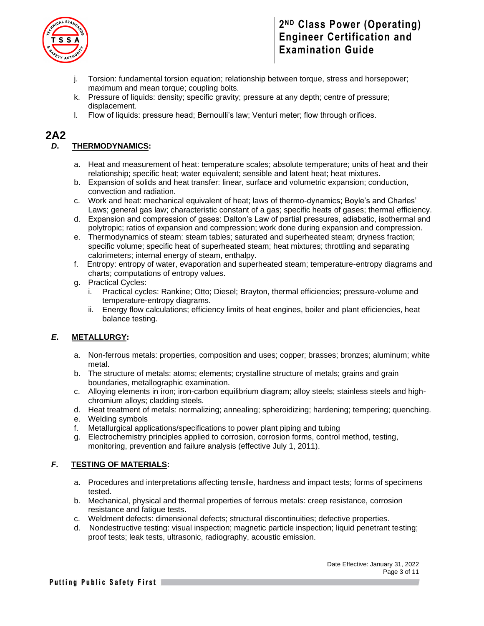

- j. Torsion: fundamental torsion equation; relationship between torque, stress and horsepower; maximum and mean torque; coupling bolts.
- k. Pressure of liquids: density; specific gravity; pressure at any depth; centre of pressure; displacement.
- l. Flow of liquids: pressure head; Bernoulli's law; Venturi meter; flow through orifices.

### **2A2**

#### *D***. THERMODYNAMICS:**

- a. Heat and measurement of heat: temperature scales; absolute temperature; units of heat and their relationship; specific heat; water equivalent; sensible and latent heat; heat mixtures.
- b. Expansion of solids and heat transfer: linear, surface and volumetric expansion; conduction, convection and radiation.
- c. Work and heat: mechanical equivalent of heat; laws of thermo-dynamics; Boyle's and Charles' Laws; general gas law; characteristic constant of a gas; specific heats of gases; thermal efficiency.
- d. Expansion and compression of gases: Dalton's Law of partial pressures, adiabatic, isothermal and polytropic; ratios of expansion and compression; work done during expansion and compression.
- e. Thermodynamics of steam: steam tables; saturated and superheated steam; dryness fraction; specific volume; specific heat of superheated steam; heat mixtures; throttling and separating calorimeters; internal energy of steam, enthalpy.
- f. Entropy: entropy of water, evaporation and superheated steam; temperature-entropy diagrams and charts; computations of entropy values.
- g. Practical Cycles:
	- i. Practical cycles: Rankine; Otto; Diesel; Brayton, thermal efficiencies; pressure-volume and temperature-entropy diagrams.
	- ii. Energy flow calculations; efficiency limits of heat engines, boiler and plant efficiencies, heat balance testing.

#### *E***. METALLURGY:**

- a. Non-ferrous metals: properties, composition and uses; copper; brasses; bronzes; aluminum; white metal.
- b. The structure of metals: atoms; elements; crystalline structure of metals; grains and grain boundaries, metallographic examination.
- c. Alloying elements in iron; iron-carbon equilibrium diagram; alloy steels; stainless steels and highchromium alloys; cladding steels.
- d. Heat treatment of metals: normalizing; annealing; spheroidizing; hardening; tempering; quenching.
- e. Welding symbols
- f. Metallurgical applications/specifications to power plant piping and tubing
- g. Electrochemistry principles applied to corrosion, corrosion forms, control method, testing, monitoring, prevention and failure analysis (effective July 1, 2011).

#### *F***. TESTING OF MATERIALS:**

- a. Procedures and interpretations affecting tensile, hardness and impact tests; forms of specimens tested.
- b. Mechanical, physical and thermal properties of ferrous metals: creep resistance, corrosion resistance and fatigue tests.
- c. Weldment defects: dimensional defects; structural discontinuities; defective properties.
- d. Nondestructive testing: visual inspection; magnetic particle inspection; liquid penetrant testing; proof tests; leak tests, ultrasonic, radiography, acoustic emission.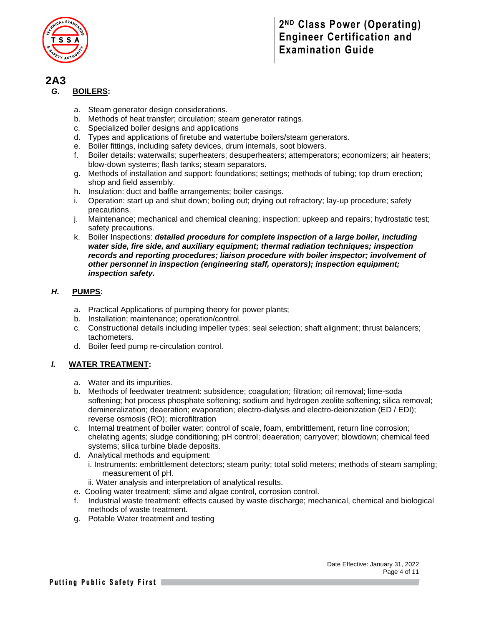

### **2A3**

#### *G***. BOILERS:**

- a. Steam generator design considerations.
- b. Methods of heat transfer; circulation; steam generator ratings.
- c. Specialized boiler designs and applications
- d. Types and applications of firetube and watertube boilers/steam generators.
- e. Boiler fittings, including safety devices, drum internals, soot blowers.
- f. Boiler details: waterwalls; superheaters; desuperheaters; attemperators; economizers; air heaters; blow-down systems; flash tanks; steam separators.
- g. Methods of installation and support: foundations; settings; methods of tubing; top drum erection; shop and field assembly.
- h. Insulation: duct and baffle arrangements; boiler casings.
- i. Operation: start up and shut down; boiling out; drying out refractory; lay-up procedure; safety precautions.
- j. Maintenance; mechanical and chemical cleaning; inspection; upkeep and repairs; hydrostatic test; safety precautions.
- k. Boiler Inspections: *detailed procedure for complete inspection of a large boiler, including water side, fire side, and auxiliary equipment; thermal radiation techniques; inspection records and reporting procedures; liaison procedure with boiler inspector; involvement of other personnel in inspection (engineering staff, operators); inspection equipment; inspection safety.*

#### *H***. PUMPS:**

- a. Practical Applications of pumping theory for power plants;
- b. Installation; maintenance; operation/control.
- c. Constructional details including impeller types; seal selection; shaft alignment; thrust balancers; tachometers.
- d. Boiler feed pump re-circulation control.

#### *I.* **WATER TREATMENT:**

- a. Water and its impurities.
- b. Methods of feedwater treatment: subsidence; coagulation; filtration; oil removal; lime-soda softening; hot process phosphate softening; sodium and hydrogen zeolite softening; silica removal; demineralization; deaeration; evaporation; electro-dialysis and electro-deionization (ED / EDI); reverse osmosis (RO); microfiltration
- c. Internal treatment of boiler water: control of scale, foam, embrittlement, return line corrosion; chelating agents; sludge conditioning; pH control; deaeration; carryover; blowdown; chemical feed systems; silica turbine blade deposits.
- d. Analytical methods and equipment: i. Instruments: embrittlement detectors; steam purity; total solid meters; methods of steam sampling;
	- measurement of pH.
	- ii. Water analysis and interpretation of analytical results.
- e. Cooling water treatment; slime and algae control, corrosion control.
- f. Industrial waste treatment: effects caused by waste discharge; mechanical, chemical and biological methods of waste treatment.
- g. Potable Water treatment and testing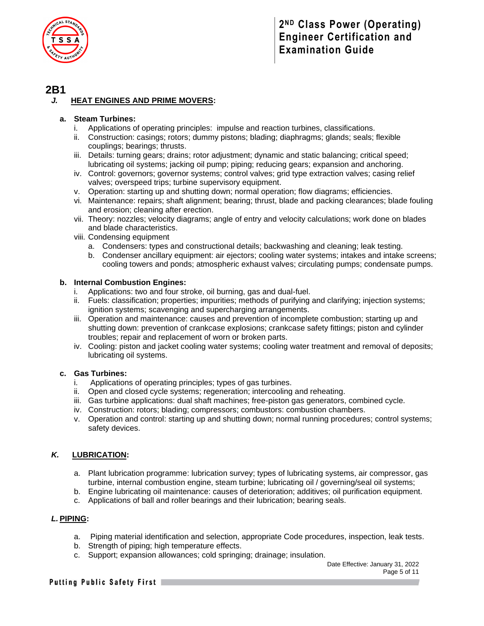

### **2B1**

#### *J.* **HEAT ENGINES AND PRIME MOVERS:**

#### **a. Steam Turbines:**

- i. Applications of operating principles: impulse and reaction turbines, classifications.
- ii. Construction: casings; rotors; dummy pistons; blading; diaphragms; glands; seals; flexible couplings; bearings; thrusts.
- iii. Details: turning gears; drains; rotor adjustment; dynamic and static balancing; critical speed; lubricating oil systems; jacking oil pump; piping; reducing gears; expansion and anchoring.
- iv. Control: governors; governor systems; control valves; grid type extraction valves; casing relief valves; overspeed trips; turbine supervisory equipment.
- v. Operation: starting up and shutting down; normal operation; flow diagrams; efficiencies.
- vi. Maintenance: repairs; shaft alignment; bearing; thrust, blade and packing clearances; blade fouling and erosion; cleaning after erection.
- vii. Theory: nozzles; velocity diagrams; angle of entry and velocity calculations; work done on blades and blade characteristics.
- viii. Condensing equipment
	- a. Condensers: types and constructional details; backwashing and cleaning; leak testing.
	- b. Condenser ancillary equipment: air ejectors; cooling water systems; intakes and intake screens; cooling towers and ponds; atmospheric exhaust valves; circulating pumps; condensate pumps.

#### **b. Internal Combustion Engines:**

- Applications: two and four stroke, oil burning, gas and dual-fuel.
- ii. Fuels: classification; properties; impurities; methods of purifying and clarifying; injection systems; ignition systems; scavenging and supercharging arrangements.
- iii. Operation and maintenance: causes and prevention of incomplete combustion; starting up and shutting down: prevention of crankcase explosions; crankcase safety fittings; piston and cylinder troubles; repair and replacement of worn or broken parts.
- iv. Cooling: piston and jacket cooling water systems; cooling water treatment and removal of deposits; lubricating oil systems.

#### **c. Gas Turbines:**

- i. Applications of operating principles; types of gas turbines.
- ii. Open and closed cycle systems; regeneration; intercooling and reheating.
- iii. Gas turbine applications: dual shaft machines; free-piston gas generators, combined cycle.
- iv. Construction: rotors; blading; compressors; combustors: combustion chambers.
- v. Operation and control: starting up and shutting down; normal running procedures; control systems; safety devices.

#### *K.* **LUBRICATION:**

- a. Plant lubrication programme: lubrication survey; types of lubricating systems, air compressor, gas turbine, internal combustion engine, steam turbine; lubricating oil / governing/seal oil systems;
- b. Engine lubricating oil maintenance: causes of deterioration; additives; oil purification equipment.
- c. Applications of ball and roller bearings and their lubrication; bearing seals.

#### *L.* **PIPING:**

- a. Piping material identification and selection, appropriate Code procedures, inspection, leak tests.
- b. Strength of piping; high temperature effects.
- c. Support; expansion allowances; cold springing; drainage; insulation.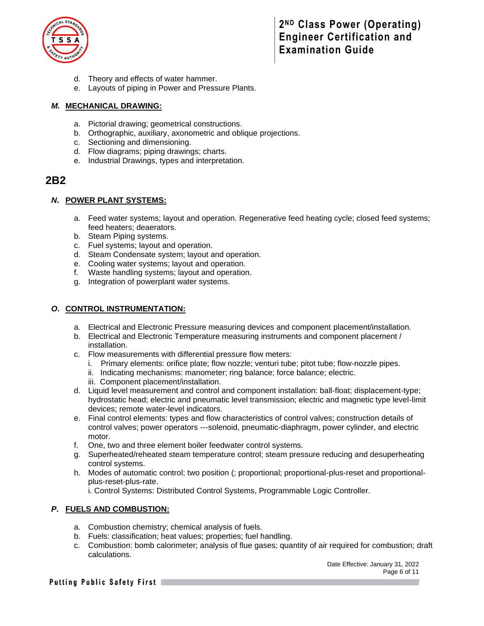

- d. Theory and effects of water hammer.
- e. Layouts of piping in Power and Pressure Plants.

#### *M.* **MECHANICAL DRAWING:**

- a. Pictorial drawing; geometrical constructions.
- b. Orthographic, auxiliary, axonometric and oblique projections.
- c. Sectioning and dimensioning.
- d. Flow diagrams; piping drawings; charts.
- e. Industrial Drawings, types and interpretation.

### **2B2**

#### *N***. POWER PLANT SYSTEMS:**

- a. Feed water systems; layout and operation. Regenerative feed heating cycle; closed feed systems; feed heaters; deaerators.
- b. Steam Piping systems.
- c. Fuel systems; layout and operation.
- d. Steam Condensate system; layout and operation.
- e. Cooling water systems; layout and operation.
- f. Waste handling systems; layout and operation.
- g. Integration of powerplant water systems.

#### *O***. CONTROL INSTRUMENTATION:**

- a. Electrical and Electronic Pressure measuring devices and component placement/installation.
- b. Electrical and Electronic Temperature measuring instruments and component placement / installation.
- c. Flow measurements with differential pressure flow meters:
	- i. Primary elements: orifice plate; flow nozzle; venturi tube; pitot tube; flow-nozzle pipes.
	- ii. Indicating mechanisms: manometer; ring balance; force balance; electric.
	- iii. Component placement/installation.
- d. Liquid level measurement and control and component installation: ball-float; displacement-type; hydrostatic head; electric and pneumatic level transmission; electric and magnetic type level-limit devices; remote water-level indicators.
- e. Final control elements: types and flow characteristics of control valves; construction details of control valves; power operators ---solenoid, pneumatic-diaphragm, power cylinder, and electric motor.
- f. One, two and three element boiler feedwater control systems.
- g. Superheated/reheated steam temperature control; steam pressure reducing and desuperheating control systems.
- h. Modes of automatic control; two position (; proportional; proportional-plus-reset and proportionalplus-reset-plus-rate.

i. Control Systems: Distributed Control Systems, Programmable Logic Controller.

#### *P***. FUELS AND COMBUSTION:**

- a. Combustion chemistry; chemical analysis of fuels.
- b. Fuels: classification; heat values; properties; fuel handling.
- c. Combustion: bomb calorimeter; analysis of flue gases; quantity of air required for combustion; draft calculations.

#### Putting Public Safety First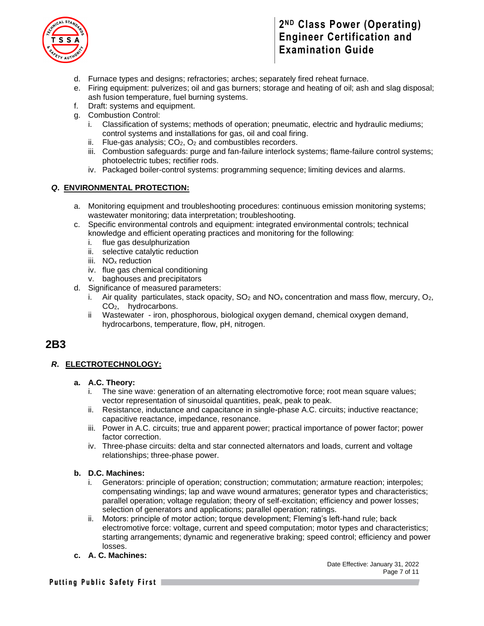

- d. Furnace types and designs; refractories; arches; separately fired reheat furnace.
- e. Firing equipment: pulverizes; oil and gas burners; storage and heating of oil; ash and slag disposal; ash fusion temperature, fuel burning systems.
- f. Draft: systems and equipment.
- g. Combustion Control:
	- i. Classification of systems; methods of operation; pneumatic, electric and hydraulic mediums; control systems and installations for gas, oil and coal firing.
	- ii. Flue-gas analysis;  $CO<sub>2</sub>$ ,  $O<sub>2</sub>$  and combustibles recorders.
	- iii. Combustion safeguards: purge and fan-failure interlock systems; flame-failure control systems; photoelectric tubes; rectifier rods.
	- iv. Packaged boiler-control systems: programming sequence; limiting devices and alarms.

#### *Q***. ENVIRONMENTAL PROTECTION:**

- a. Monitoring equipment and troubleshooting procedures: continuous emission monitoring systems; wastewater monitoring; data interpretation; troubleshooting.
- c. Specific environmental controls and equipment: integrated environmental controls; technical knowledge and efficient operating practices and monitoring for the following:
	- i. flue gas desulphurization
	- ii. selective catalytic reduction
	- iii. NO<sub>x</sub> reduction
	- iv. flue gas chemical conditioning
	- v. baghouses and precipitators
- d. Significance of measured parameters:
	- i. Air quality particulates, stack opacity,  $SO_2$  and  $NO_x$  concentration and mass flow, mercury,  $O_2$ , CO2, hydrocarbons.
	- ii Wastewater iron, phosphorous, biological oxygen demand, chemical oxygen demand, hydrocarbons, temperature, flow, pH, nitrogen.

### **2B3**

#### *R***. ELECTROTECHNOLOGY:**

#### **a. A.C. Theory:**

- i. The sine wave: generation of an alternating electromotive force; root mean square values; vector representation of sinusoidal quantities, peak, peak to peak.
- ii. Resistance, inductance and capacitance in single-phase A.C. circuits; inductive reactance; capacitive reactance, impedance, resonance.
- iii. Power in A.C. circuits; true and apparent power; practical importance of power factor; power factor correction.
- iv. Three-phase circuits: delta and star connected alternators and loads, current and voltage relationships; three-phase power.

#### **b. D.C. Machines:**

- i. Generators: principle of operation; construction; commutation; armature reaction; interpoles; compensating windings; lap and wave wound armatures; generator types and characteristics; parallel operation; voltage regulation; theory of self-excitation; efficiency and power losses; selection of generators and applications; parallel operation; ratings.
- ii. Motors: principle of motor action; torque development; Fleming's left-hand rule; back electromotive force: voltage, current and speed computation; motor types and characteristics; starting arrangements; dynamic and regenerative braking; speed control; efficiency and power losses.
- **c. A. C. Machines:**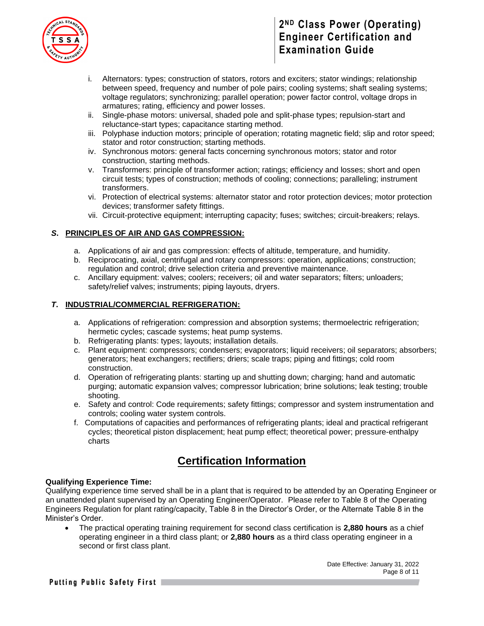

- i. Alternators: types; construction of stators, rotors and exciters; stator windings; relationship between speed, frequency and number of pole pairs; cooling systems; shaft sealing systems; voltage regulators; synchronizing; parallel operation; power factor control, voltage drops in armatures; rating, efficiency and power losses.
- ii. Single-phase motors: universal, shaded pole and split-phase types; repulsion-start and reluctance-start types; capacitance starting method.
- iii. Polyphase induction motors; principle of operation; rotating magnetic field; slip and rotor speed; stator and rotor construction; starting methods.
- iv. Synchronous motors: general facts concerning synchronous motors; stator and rotor construction, starting methods.
- v. Transformers: principle of transformer action; ratings; efficiency and losses; short and open circuit tests; types of construction; methods of cooling; connections; paralleling; instrument transformers.
- vi. Protection of electrical systems: alternator stator and rotor protection devices; motor protection devices; transformer safety fittings.
- vii. Circuit-protective equipment; interrupting capacity; fuses; switches; circuit-breakers; relays.

#### *S***. PRINCIPLES OF AIR AND GAS COMPRESSION:**

- a. Applications of air and gas compression: effects of altitude, temperature, and humidity.
- b. Reciprocating, axial, centrifugal and rotary compressors: operation, applications; construction; regulation and control; drive selection criteria and preventive maintenance.
- c. Ancillary equipment: valves; coolers; receivers; oil and water separators; filters; unloaders; safety/relief valves; instruments; piping layouts, dryers.

#### *T***. INDUSTRIAL/COMMERCIAL REFRIGERATION:**

- a. Applications of refrigeration: compression and absorption systems; thermoelectric refrigeration; hermetic cycles; cascade systems; heat pump systems.
- b. Refrigerating plants: types; layouts; installation details.
- c. Plant equipment: compressors; condensers; evaporators; liquid receivers; oil separators; absorbers; generators; heat exchangers; rectifiers; driers; scale traps; piping and fittings; cold room construction.
- d. Operation of refrigerating plants: starting up and shutting down; charging; hand and automatic purging; automatic expansion valves; compressor lubrication; brine solutions; leak testing; trouble shooting.
- e. Safety and control: Code requirements; safety fittings; compressor and system instrumentation and controls; cooling water system controls.
- f. Computations of capacities and performances of refrigerating plants; ideal and practical refrigerant cycles; theoretical piston displacement; heat pump effect; theoretical power; pressure-enthalpy charts

# **Certification Information**

#### **Qualifying Experience Time:**

Qualifying experience time served shall be in a plant that is required to be attended by an Operating Engineer or an unattended plant supervised by an Operating Engineer/Operator. Please refer to Table 8 of the Operating Engineers Regulation for plant rating/capacity, Table 8 in the Director's Order, or the Alternate Table 8 in the Minister's Order.

• The practical operating training requirement for second class certification is **2,880 hours** as a chief operating engineer in a third class plant; or **2,880 hours** as a third class operating engineer in a second or first class plant.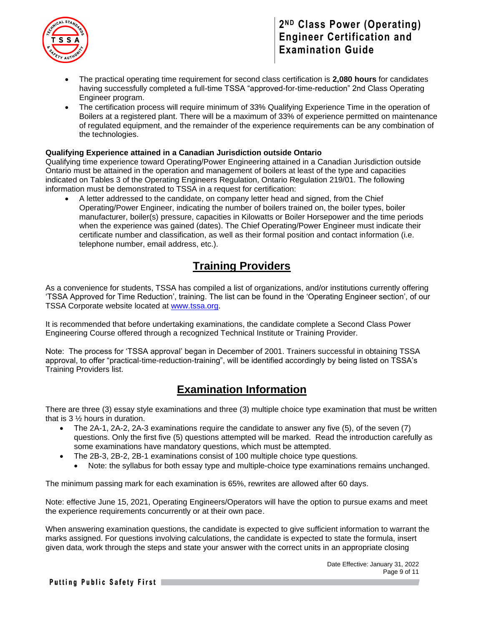

- The practical operating time requirement for second class certification is **2,080 hours** for candidates having successfully completed a full-time TSSA "approved-for-time-reduction" 2nd Class Operating Engineer program.
- The certification process will require minimum of 33% Qualifying Experience Time in the operation of Boilers at a registered plant. There will be a maximum of 33% of experience permitted on maintenance of regulated equipment, and the remainder of the experience requirements can be any combination of the technologies.

#### **Qualifying Experience attained in a Canadian Jurisdiction outside Ontario**

Qualifying time experience toward Operating/Power Engineering attained in a Canadian Jurisdiction outside Ontario must be attained in the operation and management of boilers at least of the type and capacities indicated on Tables 3 of the Operating Engineers Regulation, Ontario Regulation 219/01. The following information must be demonstrated to TSSA in a request for certification:

• A letter addressed to the candidate, on company letter head and signed, from the Chief Operating/Power Engineer, indicating the number of boilers trained on, the boiler types, boiler manufacturer, boiler(s) pressure, capacities in Kilowatts or Boiler Horsepower and the time periods when the experience was gained (dates). The Chief Operating/Power Engineer must indicate their certificate number and classification, as well as their formal position and contact information (i.e. telephone number, email address, etc.).

# **Training Providers**

As a convenience for students, TSSA has compiled a list of organizations, and/or institutions currently offering 'TSSA Approved for Time Reduction', training. The list can be found in the 'Operating Engineer section', of our TSSA Corporate website located at [www.tssa.org.](http://www.tssa.org/)

It is recommended that before undertaking examinations, the candidate complete a Second Class Power Engineering Course offered through a recognized Technical Institute or Training Provider.

Note: The process for 'TSSA approval' began in December of 2001. Trainers successful in obtaining TSSA approval, to offer "practical-time-reduction-training", will be identified accordingly by being listed on TSSA's Training Providers list.

### **Examination Information**

There are three (3) essay style examinations and three (3) multiple choice type examination that must be written that is 3 ½ hours in duration.

- The 2A-1, 2A-2, 2A-3 examinations require the candidate to answer any five (5), of the seven (7) questions. Only the first five (5) questions attempted will be marked. Read the introduction carefully as some examinations have mandatory questions, which must be attempted.
- The 2B-3, 2B-2, 2B-1 examinations consist of 100 multiple choice type questions.
	- Note: the syllabus for both essay type and multiple-choice type examinations remains unchanged.

The minimum passing mark for each examination is 65%, rewrites are allowed after 60 days.

Note: effective June 15, 2021, Operating Engineers/Operators will have the option to pursue exams and meet the experience requirements concurrently or at their own pace.

When answering examination questions, the candidate is expected to give sufficient information to warrant the marks assigned. For questions involving calculations, the candidate is expected to state the formula, insert given data, work through the steps and state your answer with the correct units in an appropriate closing

> Date Effective: January 31, 2022 Page 9 of 11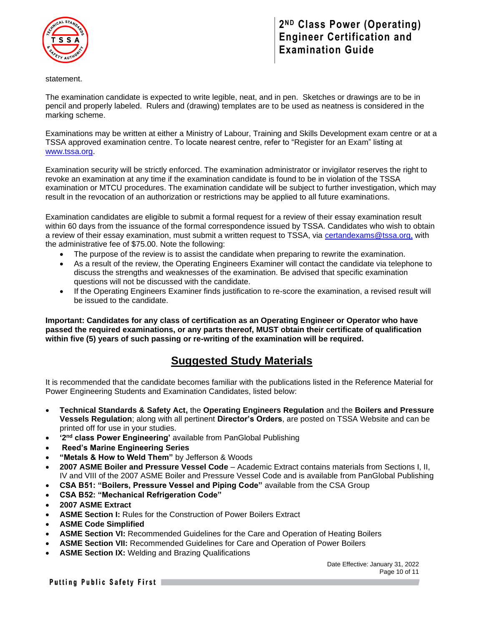

statement.

The examination candidate is expected to write legible, neat, and in pen. Sketches or drawings are to be in pencil and properly labeled. Rulers and (drawing) templates are to be used as neatness is considered in the marking scheme.

Examinations may be written at either a Ministry of Labour, Training and Skills Development exam centre or at a TSSA approved examination centre. To locate nearest centre, refer to "Register for an Exam" listing at [www.tssa.org.](http://www.tssa.org/)

Examination security will be strictly enforced. The examination administrator or invigilator reserves the right to revoke an examination at any time if the examination candidate is found to be in violation of the TSSA examination or MTCU procedures. The examination candidate will be subject to further investigation, which may result in the revocation of an authorization or restrictions may be applied to all future examinations.

Examination candidates are eligible to submit a formal request for a review of their essay examination result within 60 days from the issuance of the formal correspondence issued by TSSA. Candidates who wish to obtain a review of their essay examination, must submit a written request to TSSA, via [certandexams@tssa.org,](mailto:certandexams@tssa.org) with the administrative fee of \$75.00. Note the following:

- The purpose of the review is to assist the candidate when preparing to rewrite the examination.
- As a result of the review, the Operating Engineers Examiner will contact the candidate via telephone to discuss the strengths and weaknesses of the examination. Be advised that specific examination questions will not be discussed with the candidate.
- If the Operating Engineers Examiner finds justification to re-score the examination, a revised result will be issued to the candidate.

**Important: Candidates for any class of certification as an Operating Engineer or Operator who have passed the required examinations, or any parts thereof, MUST obtain their certificate of qualification within five (5) years of such passing or re-writing of the examination will be required.** 

# **Suggested Study Materials**

It is recommended that the candidate becomes familiar with the publications listed in the Reference Material for Power Engineering Students and Examination Candidates, listed below:

- **Technical Standards & Safety Act,** the **Operating Engineers Regulation** and the **Boilers and Pressure Vessels Regulation**; along with all pertinent **Director's Orders**, are posted on TSSA Website and can be printed off for use in your studies.
- **•** '2<sup>nd</sup> class Power Engineering' available from PanGlobal Publishing
- **Reed's Marine Engineering Series**
- **"Metals & How to Weld Them"** by Jefferson & Woods
- **2007 ASME Boiler and Pressure Vessel Code**  Academic Extract contains materials from Sections I, II, IV and VIII of the 2007 ASME Boiler and Pressure Vessel Code and is available from PanGlobal Publishing
- **CSA B51: "Boilers, Pressure Vessel and Piping Code"** available from the CSA Group
- **CSA B52: "Mechanical Refrigeration Code"**
- **2007 ASME Extract**
- **ASME Section I:** Rules for the Construction of Power Boilers Extract
- **ASME Code Simplified**
- **ASME Section VI:** Recommended Guidelines for the Care and Operation of Heating Boilers
- **ASME Section VII:** Recommended Guidelines for Care and Operation of Power Boilers
- **ASME Section IX:** Welding and Brazing Qualifications

Date Effective: January 31, 2022 Page 10 of 11